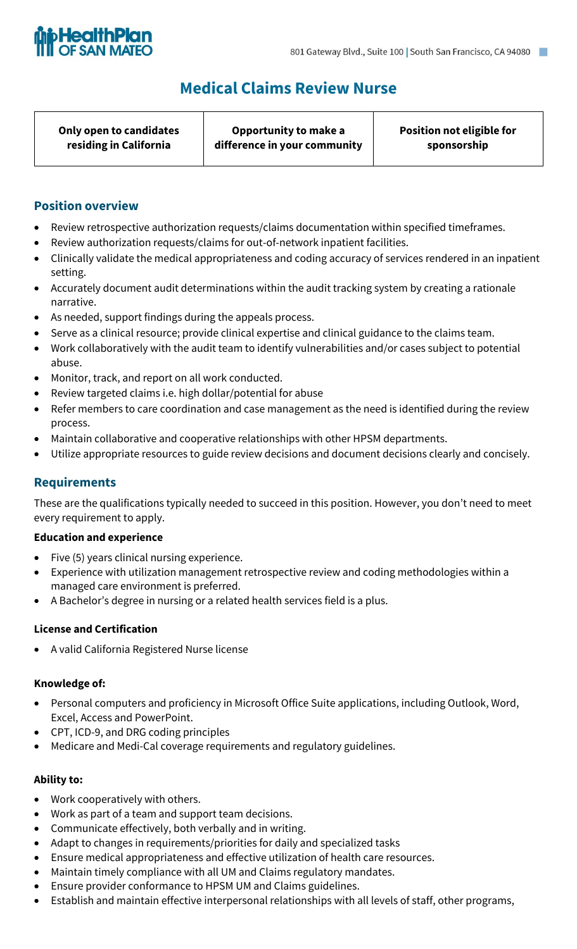Τ



# **Medical Claims Review Nurse**

| Only open to candidates | Opportunity to make a        | Position not eligible for |
|-------------------------|------------------------------|---------------------------|
| residing in California  | difference in your community | sponsorship               |

## **Position overview**

- Review retrospective authorization requests/claims documentation within specified timeframes.
- Review authorization requests/claims for out-of-network inpatient facilities.

 $\top$ 

- Clinically validate the medical appropriateness and coding accuracy of services rendered in an inpatient setting.
- Accurately document audit determinations within the audit tracking system by creating a rationale narrative.
- As needed, support findings during the appeals process.
- Serve as a clinical resource; provide clinical expertise and clinical guidance to the claims team.
- Work collaboratively with the audit team to identify vulnerabilities and/or cases subject to potential abuse.
- Monitor, track, and report on all work conducted.
- Review targeted claims i.e. high dollar/potential for abuse
- Refer members to care coordination and case management as the need is identified during the review process.
- Maintain collaborative and cooperative relationships with other HPSM departments.
- Utilize appropriate resources to guide review decisions and document decisions clearly and concisely.

### **Requirements**

These are the qualifications typically needed to succeed in this position. However, you don't need to meet every requirement to apply.

#### **Education and experience**

- Five (5) years clinical nursing experience.
- Experience with utilization management retrospective review and coding methodologies within a managed care environment is preferred.
- A Bachelor's degree in nursing or a related health services field is a plus.

### **License and Certification**

• A valid California Registered Nurse license

#### **Knowledge of:**

- Personal computers and proficiency in Microsoft Office Suite applications, including Outlook, Word, Excel, Access and PowerPoint.
- CPT, ICD-9, and DRG coding principles
- Medicare and Medi-Cal coverage requirements and regulatory guidelines.

#### **Ability to:**

- Work cooperatively with others.
- Work as part of a team and support team decisions.
- Communicate effectively, both verbally and in writing.
- Adapt to changes in requirements/priorities for daily and specialized tasks
- Ensure medical appropriateness and effective utilization of health care resources.
- Maintain timely compliance with all UM and Claims regulatory mandates.
- Ensure provider conformance to HPSM UM and Claims guidelines.
- Establish and maintain effective interpersonal relationships with all levels of staff, other programs,